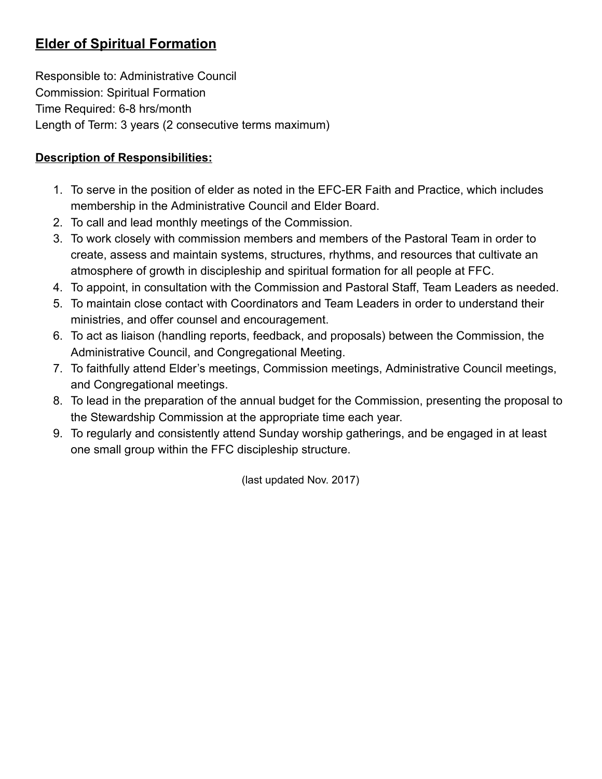# Elder of Spiritual Formation

Responsible to: Administrative Council Commission: Spiritual Formation Time Required: 6-8 hrs/month Length of Term: 3 years (2 consecutive terms maximum)

### Description of Responsibilities:

- 1. To serve in the position of elder as noted in the EFC-ER Faith and Practice, which includes membership in the Administrative Council and Elder Board.
- 2. To call and lead monthly meetings of the Commission.
- 3. To work closely with commission members and members of the Pastoral Team in order to create, assess and maintain systems, structures, rhythms, and resources that cultivate an atmosphere of growth in discipleship and spiritual formation for all people at FFC.
- 4. To appoint, in consultation with the Commission and Pastoral Staff, Team Leaders as needed.
- 5. To maintain close contact with Coordinators and Team Leaders in order to understand their ministries, and offer counsel and encouragement.
- 6. To act as liaison (handling reports, feedback, and proposals) between the Commission, the Administrative Council, and Congregational Meeting.
- 7. To faithfully attend Elder's meetings, Commission meetings, Administrative Council meetings, and Congregational meetings.
- 8. To lead in the preparation of the annual budget for the Commission, presenting the proposal to the Stewardship Commission at the appropriate time each year.
- 9. To regularly and consistently attend Sunday worship gatherings, and be engaged in at least one small group within the FFC discipleship structure.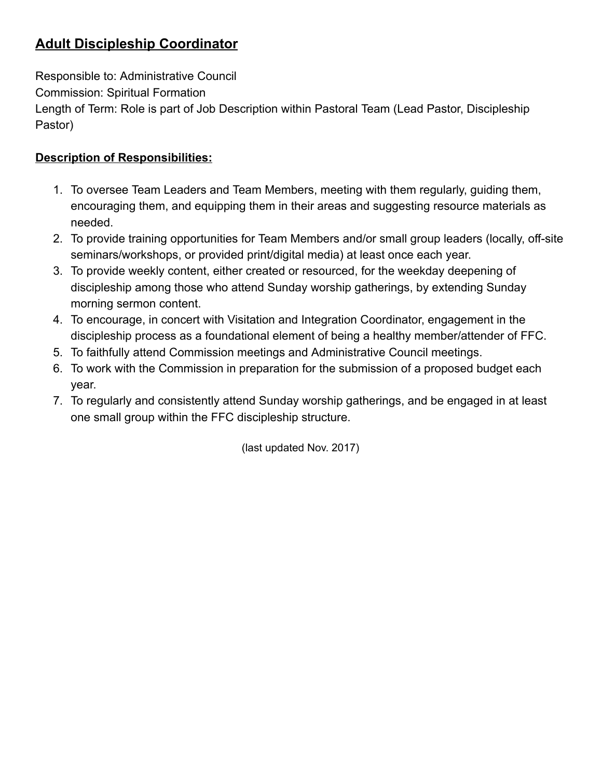# Adult Discipleship Coordinator

Responsible to: Administrative Council

Commission: Spiritual Formation

Length of Term: Role is part of Job Description within Pastoral Team (Lead Pastor, Discipleship Pastor)

### Description of Responsibilities:

- 1. To oversee Team Leaders and Team Members, meeting with them regularly, guiding them, encouraging them, and equipping them in their areas and suggesting resource materials as needed.
- 2. To provide training opportunities for Team Members and/or small group leaders (locally, off-site seminars/workshops, or provided print/digital media) at least once each year.
- 3. To provide weekly content, either created or resourced, for the weekday deepening of discipleship among those who attend Sunday worship gatherings, by extending Sunday morning sermon content.
- 4. To encourage, in concert with Visitation and Integration Coordinator, engagement in the discipleship process as a foundational element of being a healthy member/attender of FFC.
- 5. To faithfully attend Commission meetings and Administrative Council meetings.
- 6. To work with the Commission in preparation for the submission of a proposed budget each year.
- 7. To regularly and consistently attend Sunday worship gatherings, and be engaged in at least one small group within the FFC discipleship structure.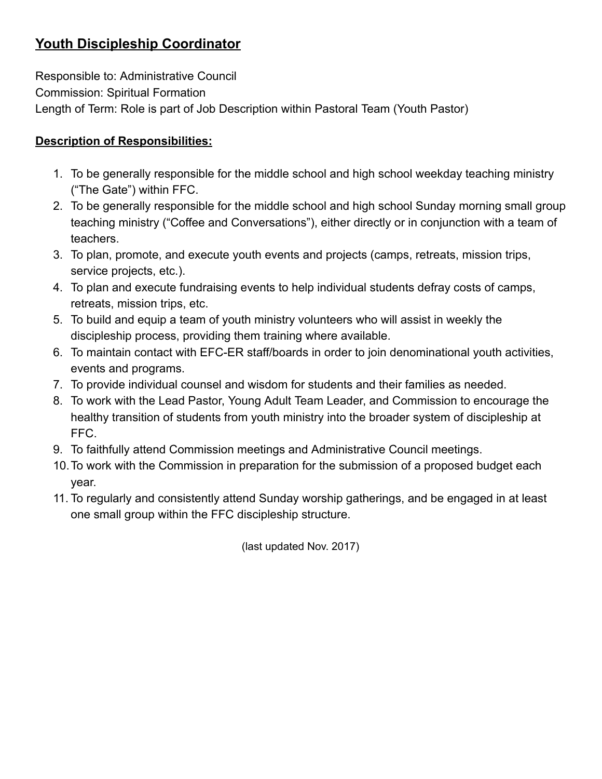## Youth Discipleship Coordinator

Responsible to: Administrative Council Commission: Spiritual Formation Length of Term: Role is part of Job Description within Pastoral Team (Youth Pastor)

#### Description of Responsibilities:

- 1. To be generally responsible for the middle school and high school weekday teaching ministry ("The Gate") within FFC.
- 2. To be generally responsible for the middle school and high school Sunday morning small group teaching ministry ("Coffee and Conversations"), either directly or in conjunction with a team of teachers.
- 3. To plan, promote, and execute youth events and projects (camps, retreats, mission trips, service projects, etc.).
- 4. To plan and execute fundraising events to help individual students defray costs of camps, retreats, mission trips, etc.
- 5. To build and equip a team of youth ministry volunteers who will assist in weekly the discipleship process, providing them training where available.
- 6. To maintain contact with EFC-ER staff/boards in order to join denominational youth activities, events and programs.
- 7. To provide individual counsel and wisdom for students and their families as needed.
- 8. To work with the Lead Pastor, Young Adult Team Leader, and Commission to encourage the healthy transition of students from youth ministry into the broader system of discipleship at FFC.
- 9. To faithfully attend Commission meetings and Administrative Council meetings.
- 10.To work with the Commission in preparation for the submission of a proposed budget each year.
- 11. To regularly and consistently attend Sunday worship gatherings, and be engaged in at least one small group within the FFC discipleship structure.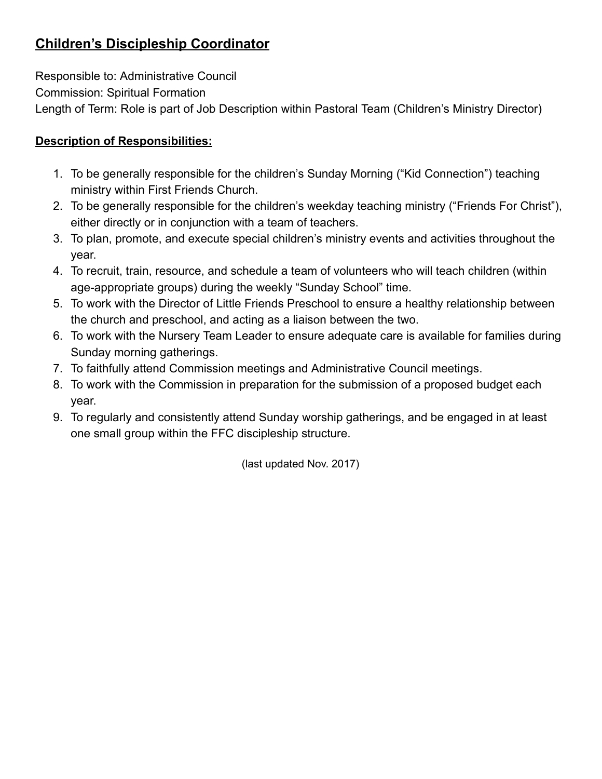# Children's Discipleship Coordinator

Responsible to: Administrative Council Commission: Spiritual Formation Length of Term: Role is part of Job Description within Pastoral Team (Children's Ministry Director)

### Description of Responsibilities:

- 1. To be generally responsible for the children's Sunday Morning ("Kid Connection") teaching ministry within First Friends Church.
- 2. To be generally responsible for the children's weekday teaching ministry ("Friends For Christ"), either directly or in conjunction with a team of teachers.
- 3. To plan, promote, and execute special children's ministry events and activities throughout the year.
- 4. To recruit, train, resource, and schedule a team of volunteers who will teach children (within age-appropriate groups) during the weekly "Sunday School" time.
- 5. To work with the Director of Little Friends Preschool to ensure a healthy relationship between the church and preschool, and acting as a liaison between the two.
- 6. To work with the Nursery Team Leader to ensure adequate care is available for families during Sunday morning gatherings.
- 7. To faithfully attend Commission meetings and Administrative Council meetings.
- 8. To work with the Commission in preparation for the submission of a proposed budget each year.
- 9. To regularly and consistently attend Sunday worship gatherings, and be engaged in at least one small group within the FFC discipleship structure.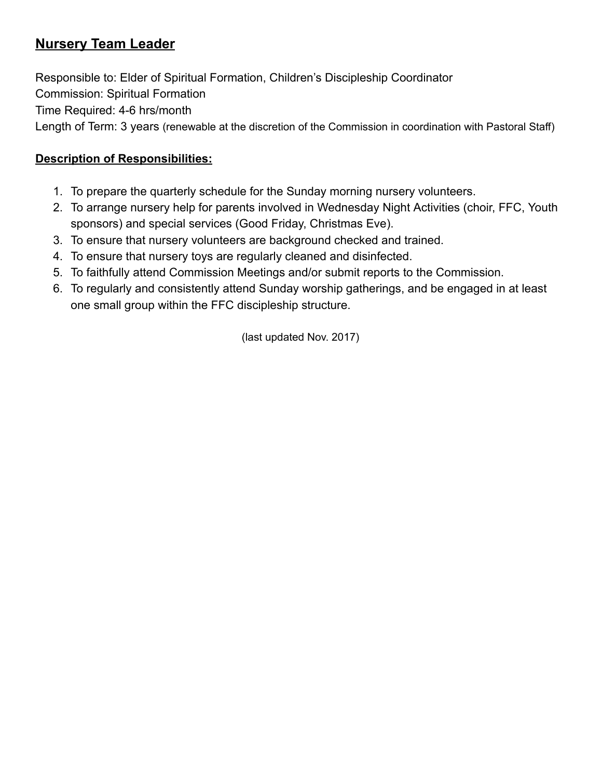### Nursery Team Leader

Responsible to: Elder of Spiritual Formation, Children's Discipleship Coordinator Commission: Spiritual Formation Time Required: 4-6 hrs/month Length of Term: 3 years (renewable at the discretion of the Commission in coordination with Pastoral Staff)

#### Description of Responsibilities:

- 1. To prepare the quarterly schedule for the Sunday morning nursery volunteers.
- 2. To arrange nursery help for parents involved in Wednesday Night Activities (choir, FFC, Youth sponsors) and special services (Good Friday, Christmas Eve).
- 3. To ensure that nursery volunteers are background checked and trained.
- 4. To ensure that nursery toys are regularly cleaned and disinfected.
- 5. To faithfully attend Commission Meetings and/or submit reports to the Commission.
- 6. To regularly and consistently attend Sunday worship gatherings, and be engaged in at least one small group within the FFC discipleship structure.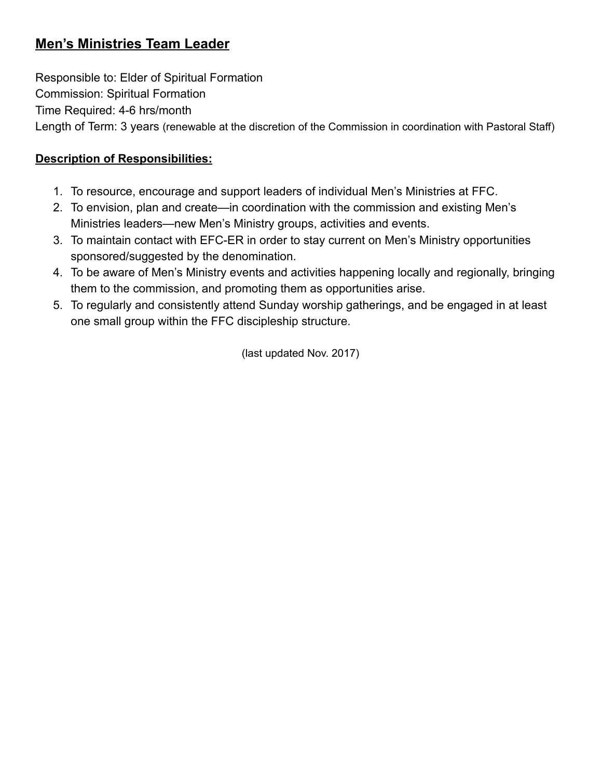## Men's Ministries Team Leader

Responsible to: Elder of Spiritual Formation Commission: Spiritual Formation Time Required: 4-6 hrs/month Length of Term: 3 years (renewable at the discretion of the Commission in coordination with Pastoral Staff)

### Description of Responsibilities:

- 1. To resource, encourage and support leaders of individual Men's Ministries at FFC.
- 2. To envision, plan and create—in coordination with the commission and existing Men's Ministries leaders—new Men's Ministry groups, activities and events.
- 3. To maintain contact with EFC-ER in order to stay current on Men's Ministry opportunities sponsored/suggested by the denomination.
- 4. To be aware of Men's Ministry events and activities happening locally and regionally, bringing them to the commission, and promoting them as opportunities arise.
- 5. To regularly and consistently attend Sunday worship gatherings, and be engaged in at least one small group within the FFC discipleship structure.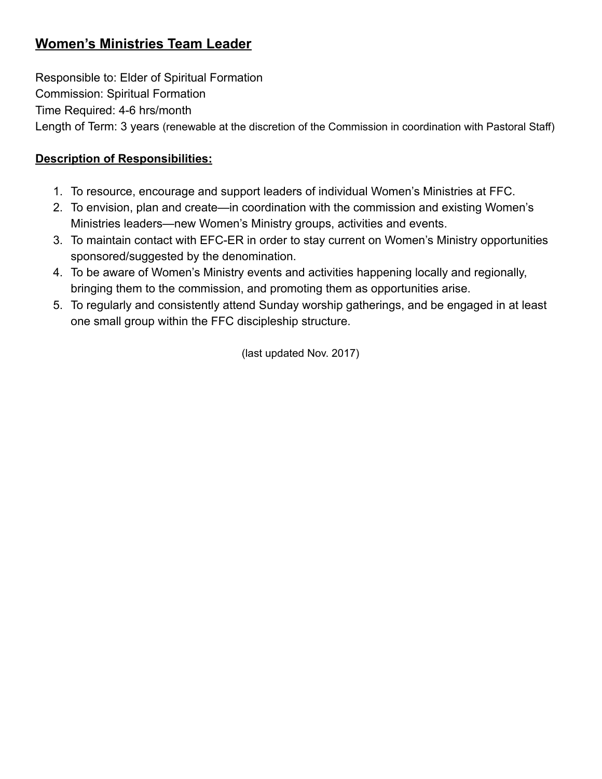### Women's Ministries Team Leader

Responsible to: Elder of Spiritual Formation Commission: Spiritual Formation Time Required: 4-6 hrs/month Length of Term: 3 years (renewable at the discretion of the Commission in coordination with Pastoral Staff)

### Description of Responsibilities:

- 1. To resource, encourage and support leaders of individual Women's Ministries at FFC.
- 2. To envision, plan and create—in coordination with the commission and existing Women's Ministries leaders—new Women's Ministry groups, activities and events.
- 3. To maintain contact with EFC-ER in order to stay current on Women's Ministry opportunities sponsored/suggested by the denomination.
- 4. To be aware of Women's Ministry events and activities happening locally and regionally, bringing them to the commission, and promoting them as opportunities arise.
- 5. To regularly and consistently attend Sunday worship gatherings, and be engaged in at least one small group within the FFC discipleship structure.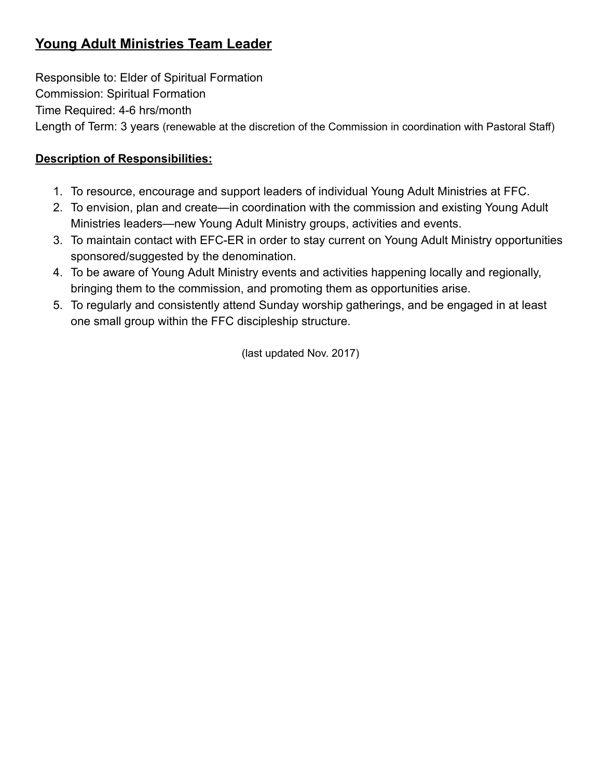# Young Adult Ministries Team Leader

Responsible to: Elder of Spiritual Formation Commission: Spiritual Formation Time Required: 4-6 hrs/month Length of Term: 3 years (renewable at the discretion of the Commission in coordination with Pastoral Staff)

### Description of Responsibilities:

- 1. To resource, encourage and support leaders of individual Young Adult Ministries at FFC.
- 2. To envision, plan and create—in coordination with the commission and existing Young Adult Ministries leaders—new Young Adult Ministry groups, activities and events.
- 3. To maintain contact with EFC-ER in order to stay current on Young Adult Ministry opportunities sponsored/suggested by the denomination.
- 4. To be aware of Young Adult Ministry events and activities happening locally and regionally, bringing them to the commission, and promoting them as opportunities arise.
- 5. To regularly and consistently attend Sunday worship gatherings, and be engaged in at least one small group within the FFC discipleship structure.